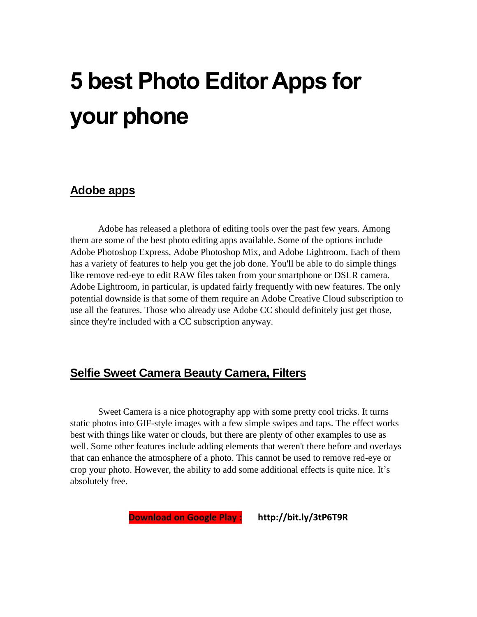# **5 best Photo Editor Apps for your phone**

#### **Adobe apps**

Adobe has released a plethora of editing tools over the past few years. Among them are some of the best photo editing apps available. Some of the options include Adobe Photoshop Express, Adobe Photoshop Mix, and Adobe Lightroom. Each of them has a variety of features to help you get the job done. You'll be able to do simple things like remove red-eye to edit RAW files taken from your smartphone or DSLR camera. Adobe Lightroom, in particular, is updated fairly frequently with new features. The only potential downside is that some of them require an Adobe Creative Cloud subscription to use all the features. Those who already use Adobe CC should definitely just get those, since they're included with a CC subscription anyway.

## **Selfie Sweet Camera Beauty Camera, Filters**

Sweet Camera is a nice photography app with some pretty cool tricks. It turns static photos into GIF-style images with a few simple swipes and taps. The effect works best with things like water or clouds, but there are plenty of other examples to use as well. Some other features include adding elements that weren't there before and overlays that can enhance the atmosphere of a photo. This cannot be used to remove red-eye or crop your photo. However, the ability to add some additional effects is quite nice. It's absolutely free.

**Download on Google Play : http://bit.ly/3tP6T9R**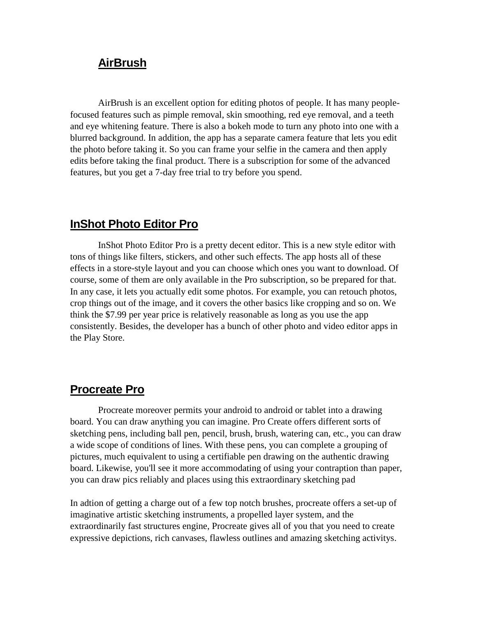### **AirBrush**

AirBrush is an excellent option for editing photos of people. It has many peoplefocused features such as pimple removal, skin smoothing, red eye removal, and a teeth and eye whitening feature. There is also a bokeh mode to turn any photo into one with a blurred background. In addition, the app has a separate camera feature that lets you edit the photo before taking it. So you can frame your selfie in the camera and then apply edits before taking the final product. There is a subscription for some of the advanced features, but you get a 7-day free trial to try before you spend.

## **InShot Photo Editor Pro**

InShot Photo Editor Pro is a pretty decent editor. This is a new style editor with tons of things like filters, stickers, and other such effects. The app hosts all of these effects in a store-style layout and you can choose which ones you want to download. Of course, some of them are only available in the Pro subscription, so be prepared for that. In any case, it lets you actually edit some photos. For example, you can retouch photos, crop things out of the image, and it covers the other basics like cropping and so on. We think the \$7.99 per year price is relatively reasonable as long as you use the app consistently. Besides, the developer has a bunch of other photo and video editor apps in the Play Store.

### **Procreate Pro**

Procreate moreover permits your android to android or tablet into a drawing board. You can draw anything you can imagine. Pro Create offers different sorts of sketching pens, including ball pen, pencil, brush, brush, watering can, etc., you can draw a wide scope of conditions of lines. With these pens, you can complete a grouping of pictures, much equivalent to using a certifiable pen drawing on the authentic drawing board. Likewise, you'll see it more accommodating of using your contraption than paper, you can draw pics reliably and places using this extraordinary sketching pad

In adtion of getting a charge out of a few top notch brushes, procreate offers a set-up of imaginative artistic sketching instruments, a propelled layer system, and the extraordinarily fast structures engine, Procreate gives all of you that you need to create expressive depictions, rich canvases, flawless outlines and amazing sketching activitys.